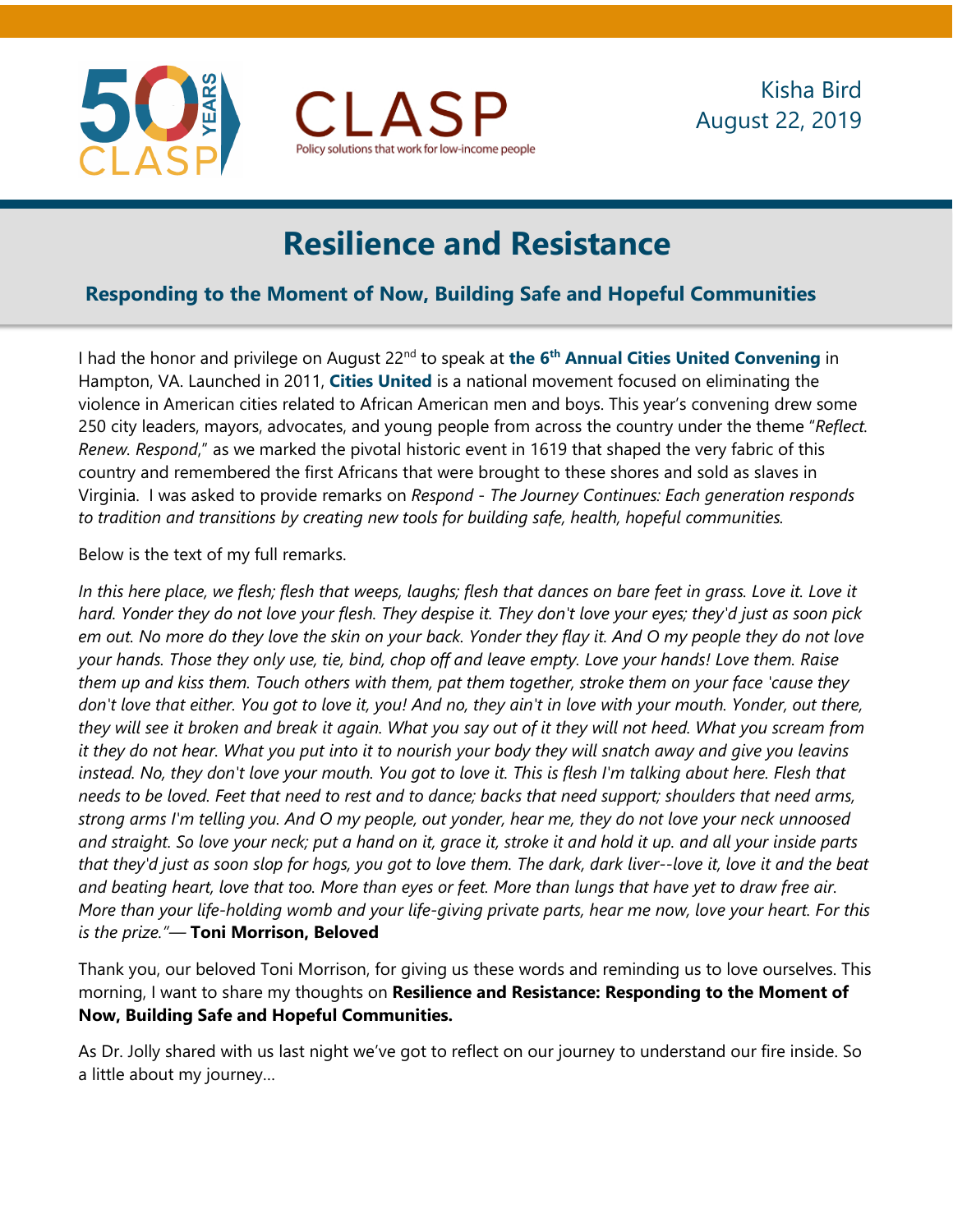



# **Resilience and Resistance**

## **Responding to the Moment of Now, Building Safe and Hopeful Communities**

I had the honor and privilege on August 22nd to speak at **the 6th [Annual Cities United Convening](https://mailchi.mp/45e84e83f7a3/citiesunited100daystilhampton)** in Hampton, VA. Launched in 2011, **[Cities United](http://citiesunited.org/)** is a national movement focused on eliminating the violence in American cities related to African American men and boys. This year's convening drew some 250 city leaders, mayors, advocates, and young people from across the country under the theme "*Reflect. Renew. Respond*," as we marked the pivotal historic event in 1619 that shaped the very fabric of this country and remembered the first Africans that were brought to these shores and sold as slaves in Virginia. I was asked to provide remarks on *Respond* - *The Journey Continues: Each generation responds to tradition and transitions by creating new tools for building safe, health, hopeful communities.*

#### Below is the text of my full remarks.

*In this here place, we flesh; flesh that weeps, laughs; flesh that dances on bare feet in grass. Love it. Love it hard. Yonder they do not love your flesh. They despise it. They don't love your eyes; they'd just as soon pick em out. No more do they love the skin on your back. Yonder they flay it. And O my people they do not love your hands. Those they only use, tie, bind, chop off and leave empty. Love your hands! Love them. Raise them up and kiss them. Touch others with them, pat them together, stroke them on your face 'cause they don't love that either. You got to love it, you! And no, they ain't in love with your mouth. Yonder, out there, they will see it broken and break it again. What you say out of it they will not heed. What you scream from it they do not hear. What you put into it to nourish your body they will snatch away and give you leavins instead. No, they don't love your mouth. You got to love it. This is flesh I'm talking about here. Flesh that needs to be loved. Feet that need to rest and to dance; backs that need support; shoulders that need arms, strong arms I'm telling you. And O my people, out yonder, hear me, they do not love your neck unnoosed and straight. So love your neck; put a hand on it, grace it, stroke it and hold it up. and all your inside parts that they'd just as soon slop for hogs, you got to love them. The dark, dark liver--love it, love it and the beat and beating heart, love that too. More than eyes or feet. More than lungs that have yet to draw free air. More than your life-holding womb and your life-giving private parts, hear me now, love your heart. For this is the prize."―* **Toni Morrison, Beloved**

Thank you, our beloved Toni Morrison, for giving us these words and reminding us to love ourselves. This morning, I want to share my thoughts on **Resilience and Resistance: Responding to the Moment of Now, Building Safe and Hopeful Communities.**

As Dr. Jolly shared with us last night we've got to reflect on our journey to understand our fire inside. So a little about my journey…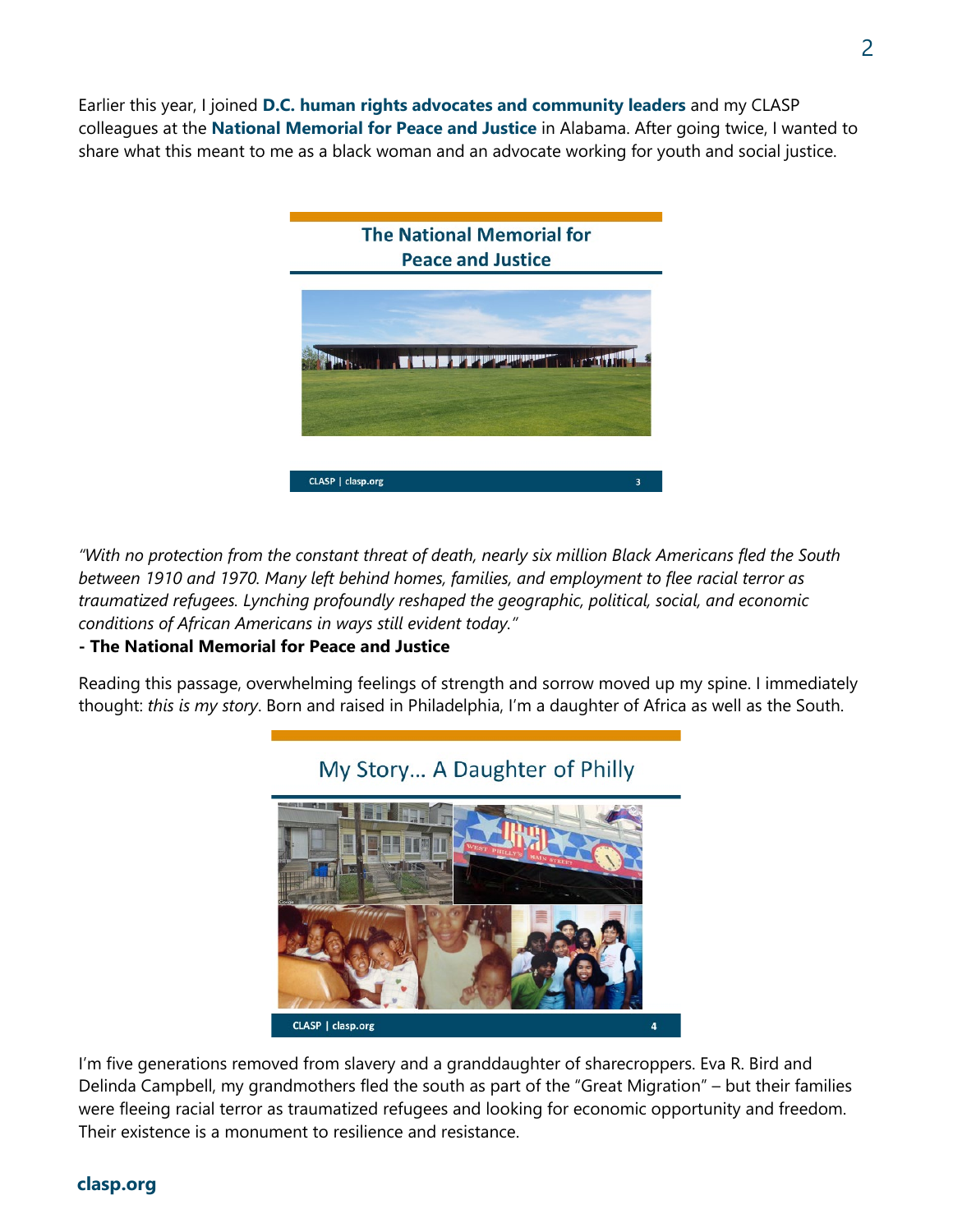Earlier this year, I joined **D.C. human rights [advocates and community leaders](https://twitter.com/thombowen/status/1102387340801200128)** and my CLASP colleagues at the **[National Memorial for Peace and Justice](https://museumandmemorial.eji.org/memorial)** in Alabama. After going twice, I wanted to share what this meant to me as a black woman and an advocate working for youth and social justice.



*"With no protection from the constant threat of death, nearly six million Black Americans fled the South between 1910 and 1970. Many left behind homes, families, and employment to flee racial terror as traumatized refugees. Lynching profoundly reshaped the geographic, political, social, and economic conditions of African Americans in ways still evident today."*

#### **- The National Memorial for Peace and Justice**

Reading this passage, overwhelming feelings of strength and sorrow moved up my spine. I immediately thought: *this is my story*. Born and raised in Philadelphia, I'm a daughter of Africa as well as the South.



### My Story... A Daughter of Philly

I'm five generations removed from slavery and a granddaughter of sharecroppers. Eva R. Bird and Delinda Campbell, my grandmothers fled the south as part of the "Great Migration" – but their families were fleeing racial terror as traumatized refugees and looking for economic opportunity and freedom. Their existence is a monument to resilience and resistance.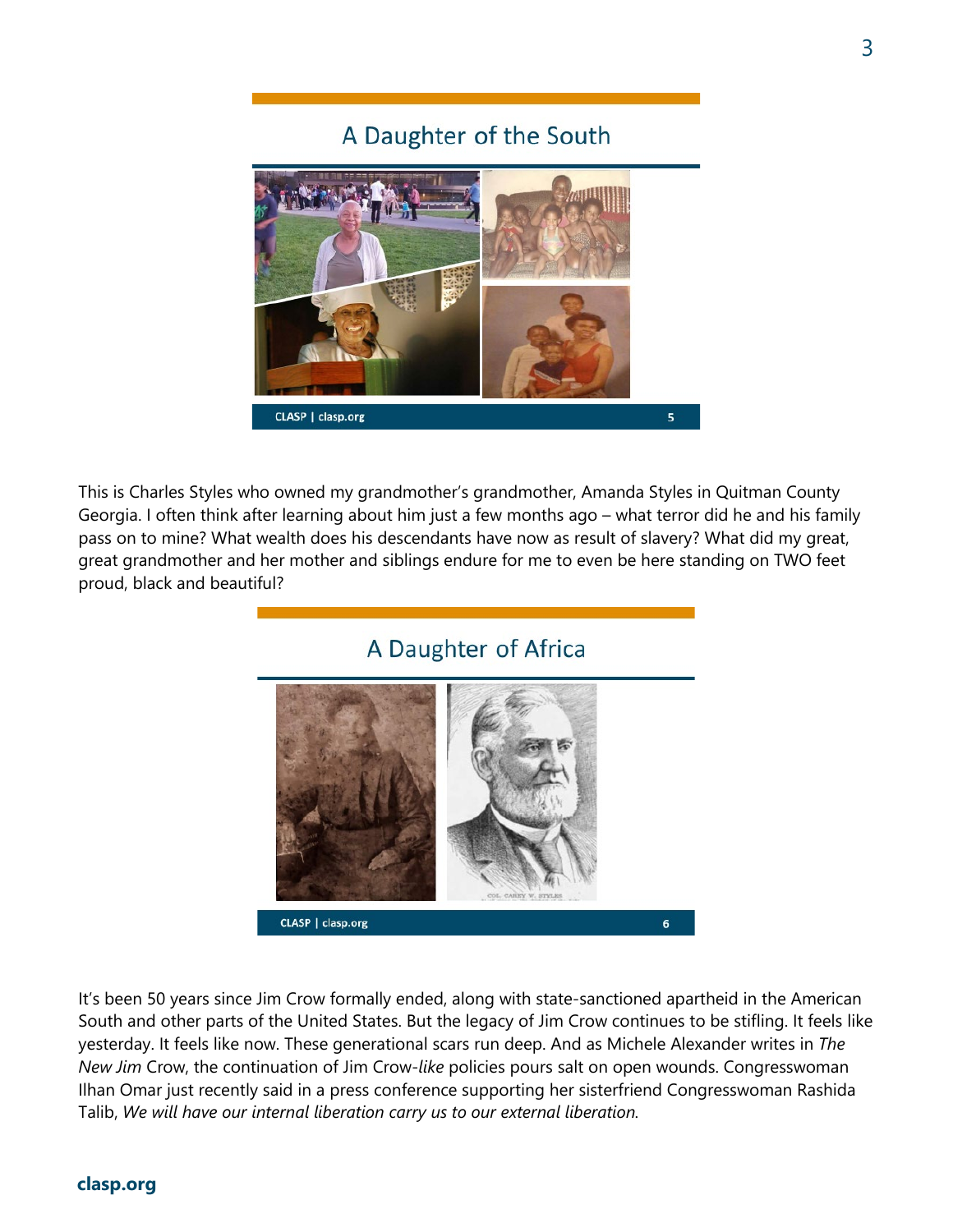## A Daughter of the South



This is Charles Styles who owned my grandmother's grandmother, Amanda Styles in Quitman County Georgia. I often think after learning about him just a few months ago – what terror did he and his family pass on to mine? What wealth does his descendants have now as result of slavery? What did my great, great grandmother and her mother and siblings endure for me to even be here standing on TWO feet proud, black and beautiful?

## A Daughter of Africa



It's been 50 years since Jim Crow formally ended, along with state-sanctioned apartheid in the American South and other parts of the United States. But the legacy of Jim Crow continues to be stifling. It feels like yesterday. It feels like now. These generational scars run deep. And as Michele Alexander writes in *The New Jim* Crow, the continuation of Jim Crow-*like* policies pours salt on open wounds. Congresswoman Ilhan Omar just recently said in a press conference supporting her sisterfriend Congresswoman Rashida Talib, *We will have our internal liberation carry us to our external liberation.*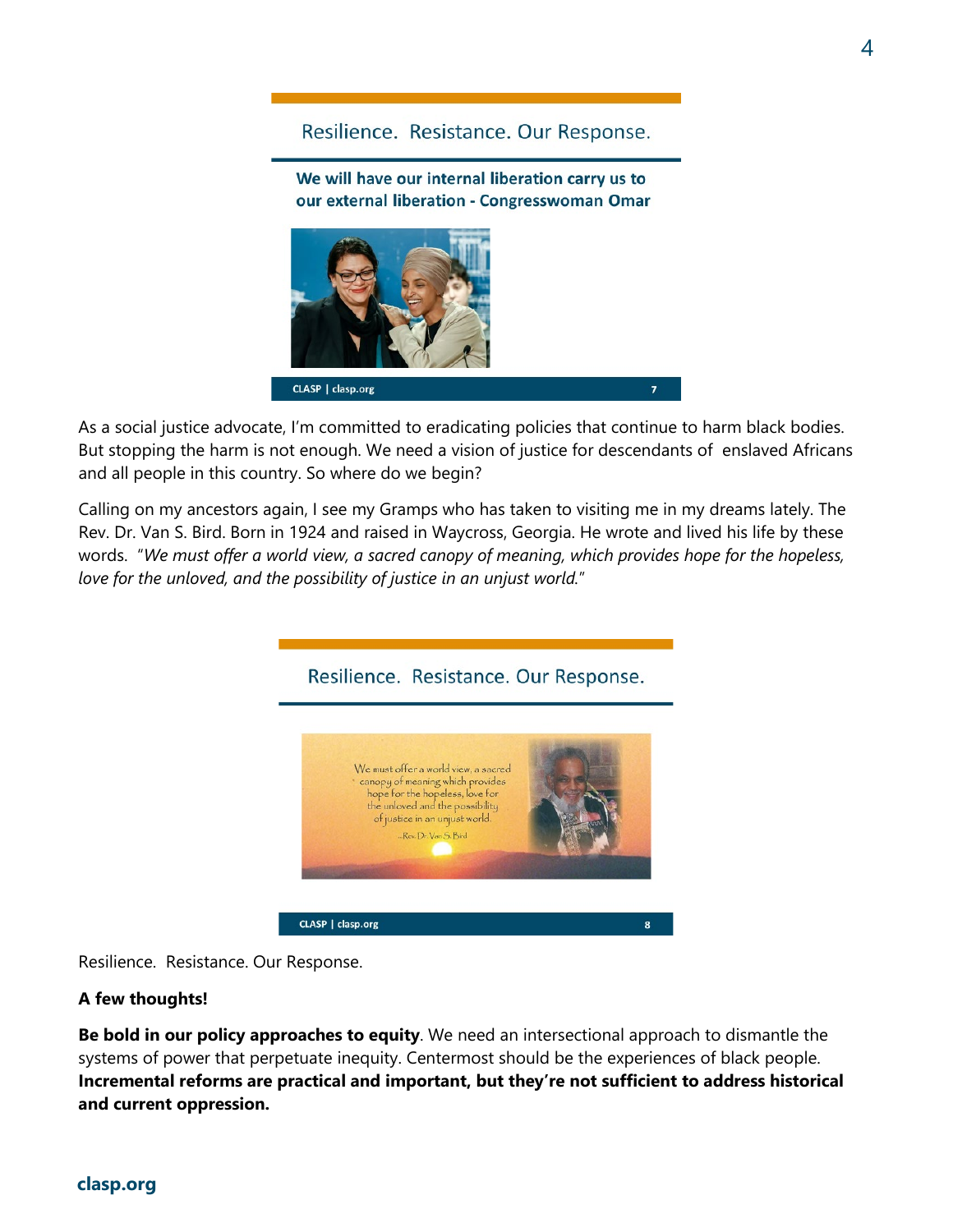### Resilience. Resistance. Our Response.

We will have our internal liberation carry us to our external liberation - Congresswoman Omar



As a social justice advocate, I'm committed to eradicating policies that continue to harm black bodies. But stopping the harm is not enough. We need a vision of justice for descendants of enslaved Africans and all people in this country. So where do we begin?

Calling on my ancestors again, I see my Gramps who has taken to visiting me in my dreams lately. The Rev. Dr. Van S. Bird. Born in 1924 and raised in Waycross, Georgia. He wrote and lived his life by these words. "*We must offer a world view, a sacred canopy of meaning, which provides hope for the hopeless, love for the unloved, and the possibility of justice in an unjust world.*"



Resilience. Resistance. Our Response.

#### **A few thoughts!**

**Be bold in our policy approaches to equity**. We need an intersectional approach to dismantle the systems of power that perpetuate inequity. Centermost should be the experiences of black people. **Incremental reforms are practical and important, but they're not sufficient to address historical and current oppression.**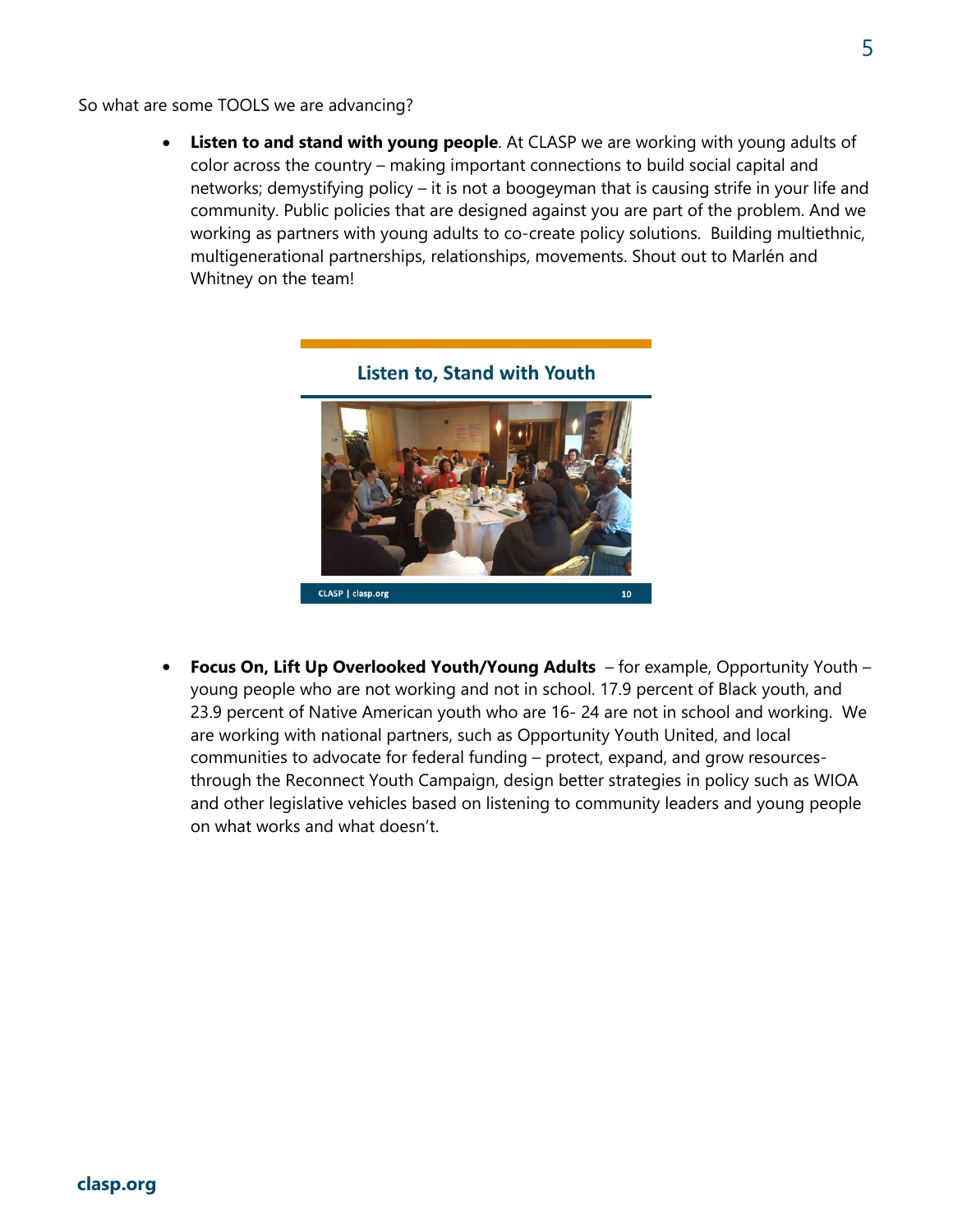So what are some TOOLS we are advancing?

**Listen to and stand with young people**. At CLASP we are working with young adults of color across the country – making important connections to build social capital and networks; demystifying policy – it is not a boogeyman that is causing strife in your life and community. Public policies that are designed against you are part of the problem. And we working as partners with young adults to co-create policy solutions. Building multiethnic, multigenerational partnerships, relationships, movements. Shout out to Marlén and Whitney on the team!



• **Focus On, Lift Up Overlooked Youth/Young Adults** – for example, Opportunity Youth – young people who are not working and not in school. 17.9 percent of Black youth, and 23.9 percent of Native American youth who are 16- 24 are not in school and working. We are working with national partners, such as Opportunity Youth United, and local communities to advocate for federal funding – protect, expand, and grow resourcesthrough the Reconnect Youth Campaign, design better strategies in policy such as WIOA and other legislative vehicles based on listening to community leaders and young people on what works and what doesn't.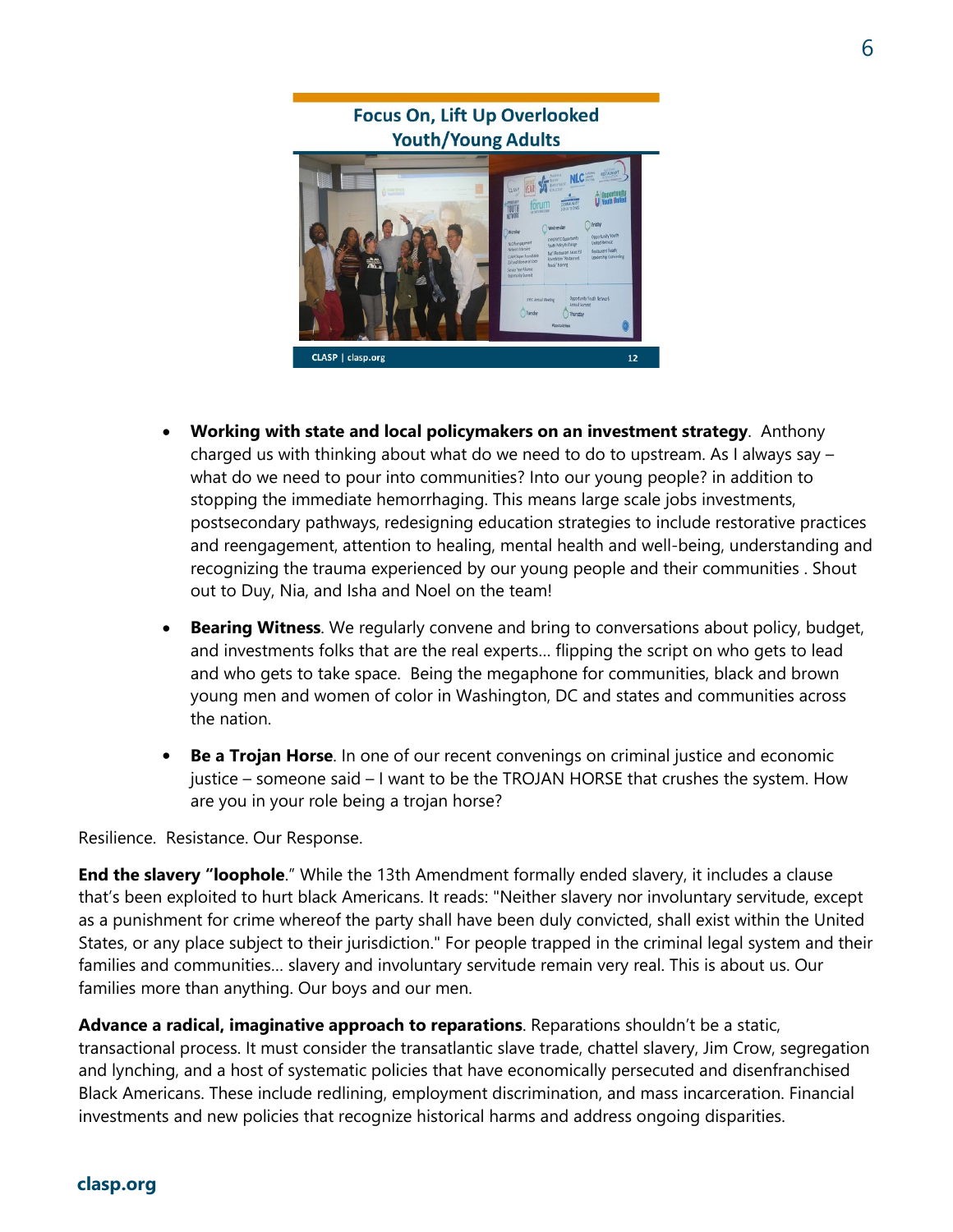### **Focus On, Lift Up Overlooked Youth/Young Adults**



- **Working with state and local policymakers on an investment strategy**. Anthony charged us with thinking about what do we need to do to upstream. As I always say – what do we need to pour into communities? Into our young people? in addition to stopping the immediate hemorrhaging. This means large scale jobs investments, postsecondary pathways, redesigning education strategies to include restorative practices and reengagement, attention to healing, mental health and well-being, understanding and recognizing the trauma experienced by our young people and their communities . Shout out to Duy, Nia, and Isha and Noel on the team!
- **Bearing Witness**. We regularly convene and bring to conversations about policy, budget, and investments folks that are the real experts… flipping the script on who gets to lead and who gets to take space. Being the megaphone for communities, black and brown young men and women of color in Washington, DC and states and communities across the nation.
- **Be a Trojan Horse**. In one of our recent convenings on criminal justice and economic justice – someone said – I want to be the TROJAN HORSE that crushes the system. How are you in your role being a trojan horse?

Resilience. Resistance. Our Response.

**End the slavery "loophole**." While the 13th Amendment formally ended slavery, it includes a clause that's been exploited to hurt black Americans. It reads: "Neither slavery nor involuntary servitude, except as a punishment for crime whereof the party shall have been duly convicted, shall exist within the United States, or any place subject to their jurisdiction." For people trapped in the criminal legal system and their families and communities… slavery and involuntary servitude remain very real. This is about us. Our families more than anything. Our boys and our men.

**Advance a radical, imaginative approach to reparations**. Reparations shouldn't be a static, transactional process. It must consider the transatlantic slave trade, chattel slavery, Jim Crow, segregation and lynching, and a host of systematic policies that have economically persecuted and disenfranchised Black Americans. These include redlining, employment discrimination, and mass incarceration. Financial investments and new policies that recognize historical harms and address ongoing disparities.